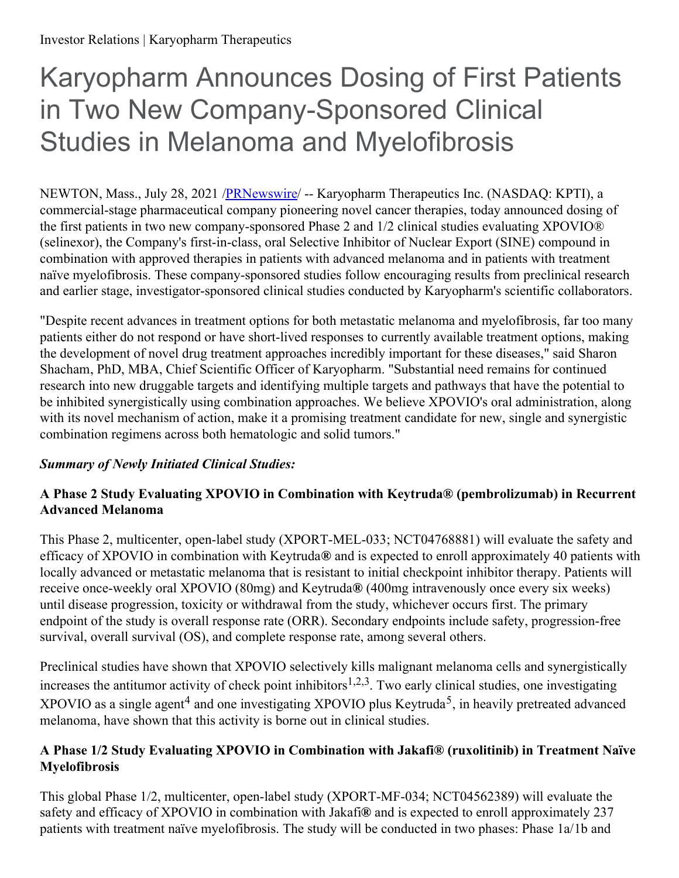# Karyopharm Announces Dosing of First Patients in Two New Company-Sponsored Clinical Studies in Melanoma and Myelofibrosis

NEWTON, Mass., July 28, 2021 [/PRNewswire](http://www.prnewswire.com/)/ -- Karyopharm Therapeutics Inc. (NASDAQ: KPTI), a commercial-stage pharmaceutical company pioneering novel cancer therapies, today announced dosing of the first patients in two new company-sponsored Phase 2 and 1/2 clinical studies evaluating XPOVIO® (selinexor), the Company's first-in-class, oral Selective Inhibitor of Nuclear Export (SINE) compound in combination with approved therapies in patients with advanced melanoma and in patients with treatment naïve myelofibrosis. These company-sponsored studies follow encouraging results from preclinical research and earlier stage, investigator-sponsored clinical studies conducted by Karyopharm's scientific collaborators.

"Despite recent advances in treatment options for both metastatic melanoma and myelofibrosis, far too many patients either do not respond or have short-lived responses to currently available treatment options, making the development of novel drug treatment approaches incredibly important for these diseases," said Sharon Shacham, PhD, MBA, Chief Scientific Officer of Karyopharm. "Substantial need remains for continued research into new druggable targets and identifying multiple targets and pathways that have the potential to be inhibited synergistically using combination approaches. We believe XPOVIO's oral administration, along with its novel mechanism of action, make it a promising treatment candidate for new, single and synergistic combination regimens across both hematologic and solid tumors."

# *Summary of Newly Initiated Clinical Studies:*

## **A Phase 2 Study Evaluating XPOVIO in Combination with Keytruda® (pembrolizumab) in Recurrent Advanced Melanoma**

This Phase 2, multicenter, open-label study (XPORT-MEL-033; NCT04768881) will evaluate the safety and efficacy of XPOVIO in combination with Keytruda**®** and is expected to enroll approximately 40 patients with locally advanced or metastatic melanoma that is resistant to initial checkpoint inhibitor therapy. Patients will receive once-weekly oral XPOVIO (80mg) and Keytruda**®** (400mg intravenously once every six weeks) until disease progression, toxicity or withdrawal from the study, whichever occurs first. The primary endpoint of the study is overall response rate (ORR). Secondary endpoints include safety, progression-free survival, overall survival (OS), and complete response rate, among several others.

Preclinical studies have shown that XPOVIO selectively kills malignant melanoma cells and synergistically increases the antitumor activity of check point inhibitors<sup>1,2,3</sup>. Two early clinical studies, one investigating XPOVIO as a single agent<sup>4</sup> and one investigating XPOVIO plus Keytruda<sup>5</sup>, in heavily pretreated advanced melanoma, have shown that this activity is borne out in clinical studies.

## **A Phase 1/2 Study Evaluating XPOVIO in Combination with Jakafi® (ruxolitinib) in Treatment Naïve Myelofibrosis**

This global Phase 1/2, multicenter, open-label study (XPORT-MF-034; NCT04562389) will evaluate the safety and efficacy of XPOVIO in combination with Jakafi**®** and is expected to enroll approximately 237 patients with treatment naïve myelofibrosis. The study will be conducted in two phases: Phase 1a/1b and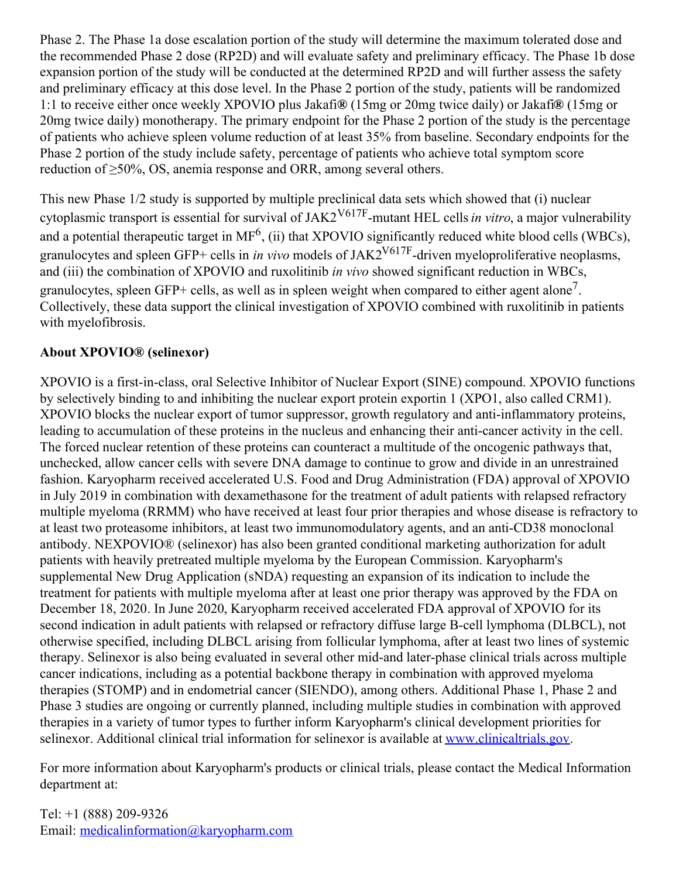Phase 2. The Phase 1a dose escalation portion of the study will determine the maximum tolerated dose and the recommended Phase 2 dose (RP2D) and will evaluate safety and preliminary efficacy. The Phase 1b dose expansion portion of the study will be conducted at the determined RP2D and will further assess the safety and preliminary efficacy at this dose level. In the Phase 2 portion of the study, patients will be randomized 1:1 to receive either once weekly XPOVIO plus Jakafi**®** (15mg or 20mg twice daily) or Jakafi**®** (15mg or 20mg twice daily) monotherapy. The primary endpoint for the Phase 2 portion of the study is the percentage of patients who achieve spleen volume reduction of at least 35% from baseline. Secondary endpoints for the Phase 2 portion of the study include safety, percentage of patients who achieve total symptom score reduction of ≥50%, OS, anemia response and ORR, among several others.

This new Phase 1/2 study is supported by multiple preclinical data sets which showed that (i) nuclear cytoplasmic transport is essential for survival of JAK2V617F -mutant HEL cells*in vitro*, a major vulnerability and a potential therapeutic target in  $MF<sup>6</sup>$ , (ii) that XPOVIO significantly reduced white blood cells (WBCs), granulocytes and spleen GFP+ cells in *in vivo* models of JAK2V617F -driven myeloproliferative neoplasms, and (iii) the combination of XPOVIO and ruxolitinib *in vivo* showed significant reduction in WBCs, granulocytes, spleen GFP+ cells, as well as in spleen weight when compared to either agent alone<sup>7</sup>. Collectively, these data support the clinical investigation of XPOVIO combined with ruxolitinib in patients with myelofibrosis.

#### **About XPOVIO® (selinexor)**

XPOVIO is a first-in-class, oral Selective Inhibitor of Nuclear Export (SINE) compound. XPOVIO functions by selectively binding to and inhibiting the nuclear export protein exportin 1 (XPO1, also called CRM1). XPOVIO blocks the nuclear export of tumor suppressor, growth regulatory and anti-inflammatory proteins, leading to accumulation of these proteins in the nucleus and enhancing their anti-cancer activity in the cell. The forced nuclear retention of these proteins can counteract a multitude of the oncogenic pathways that, unchecked, allow cancer cells with severe DNA damage to continue to grow and divide in an unrestrained fashion. Karyopharm received accelerated U.S. Food and Drug Administration (FDA) approval of XPOVIO in July 2019 in combination with dexamethasone for the treatment of adult patients with relapsed refractory multiple myeloma (RRMM) who have received at least four prior therapies and whose disease is refractory to at least two proteasome inhibitors, at least two immunomodulatory agents, and an anti-CD38 monoclonal antibody. NEXPOVIO® (selinexor) has also been granted conditional marketing authorization for adult patients with heavily pretreated multiple myeloma by the European Commission. Karyopharm's supplemental New Drug Application (sNDA) requesting an expansion of its indication to include the treatment for patients with multiple myeloma after at least one prior therapy was approved by the FDA on December 18, 2020. In June 2020, Karyopharm received accelerated FDA approval of XPOVIO for its second indication in adult patients with relapsed or refractory diffuse large B-cell lymphoma (DLBCL), not otherwise specified, including DLBCL arising from follicular lymphoma, after at least two lines of systemic therapy. Selinexor is also being evaluated in several other mid-and later-phase clinical trials across multiple cancer indications, including as a potential backbone therapy in combination with approved myeloma therapies (STOMP) and in endometrial cancer (SIENDO), among others. Additional Phase 1, Phase 2 and Phase 3 studies are ongoing or currently planned, including multiple studies in combination with approved therapies in a variety of tumor types to further inform Karyopharm's clinical development priorities for selinexor. Additional clinical trial information for selinexor is available at [www.clinicaltrials.gov](https://c212.net/c/link/?t=0&l=en&o=3240977-1&h=3677177003&u=http%3A%2F%2Fwww.clinicaltrials.gov%2F&a=www.clinicaltrials.gov).

For more information about Karyopharm's products or clinical trials, please contact the Medical Information department at:

Tel: +1 (888) 209-9326 Email: [medicalinformation@karyopharm.com](mailto:medicalinformation@karyopharm.com)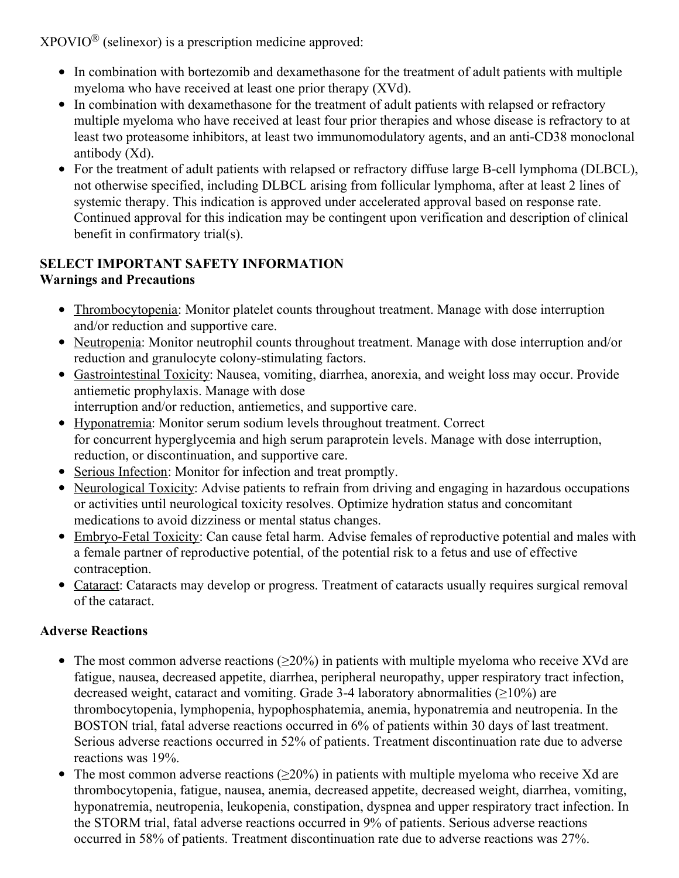$XPOVIO^{\circledR}$  (selinexor) is a prescription medicine approved:

- In combination with bortezomib and dexamethasone for the treatment of adult patients with multiple myeloma who have received at least one prior therapy (XVd).
- In combination with dexamethasone for the treatment of adult patients with relapsed or refractory multiple myeloma who have received at least four prior therapies and whose disease is refractory to at least two proteasome inhibitors, at least two immunomodulatory agents, and an anti‐CD38 monoclonal antibody (Xd).
- For the treatment of adult patients with relapsed or refractory diffuse large B‐cell lymphoma (DLBCL), not otherwise specified, including DLBCL arising from follicular lymphoma, after at least 2 lines of systemic therapy. This indication is approved under accelerated approval based on response rate. Continued approval for this indication may be contingent upon verification and description of clinical benefit in confirmatory trial(s).

## **SELECT IMPORTANT SAFETY INFORMATION Warnings and Precautions**

- Thrombocytopenia: Monitor platelet counts throughout treatment. Manage with dose interruption and/or reduction and supportive care.
- Neutropenia: Monitor neutrophil counts throughout treatment. Manage with dose interruption and/or reduction and granulocyte colony‐stimulating factors.
- Gastrointestinal Toxicity: Nausea, vomiting, diarrhea, anorexia, and weight loss may occur. Provide antiemetic prophylaxis. Manage with dose interruption and/or reduction, antiemetics, and supportive care.
- Hyponatremia: Monitor serum sodium levels throughout treatment. Correct for concurrent hyperglycemia and high serum paraprotein levels. Manage with dose interruption, reduction, or discontinuation, and supportive care.
- Serious Infection: Monitor for infection and treat promptly.
- Neurological Toxicity: Advise patients to refrain from driving and engaging in hazardous occupations or activities until neurological toxicity resolves. Optimize hydration status and concomitant medications to avoid dizziness or mental status changes.
- Embryo-Fetal Toxicity: Can cause fetal harm. Advise females of reproductive potential and males with a female partner of reproductive potential, of the potential risk to a fetus and use of effective contraception.
- Cataract: Cataracts may develop or progress. Treatment of cataracts usually requires surgical removal of the cataract.

# **Adverse Reactions**

- The most common adverse reactions  $(\geq 20\%)$  in patients with multiple myeloma who receive XVd are fatigue, nausea, decreased appetite, diarrhea, peripheral neuropathy, upper respiratory tract infection, decreased weight, cataract and vomiting. Grade 3-4 laboratory abnormalities  $(\geq 10\%)$  are thrombocytopenia, lymphopenia, hypophosphatemia, anemia, hyponatremia and neutropenia. In the BOSTON trial, fatal adverse reactions occurred in 6% of patients within 30 days of last treatment. Serious adverse reactions occurred in 52% of patients. Treatment discontinuation rate due to adverse reactions was 19%.
- The most common adverse reactions ( $\geq 20\%$ ) in patients with multiple myeloma who receive Xd are thrombocytopenia, fatigue, nausea, anemia, decreased appetite, decreased weight, diarrhea, vomiting, hyponatremia, neutropenia, leukopenia, constipation, dyspnea and upper respiratory tract infection. In the STORM trial, fatal adverse reactions occurred in 9% of patients. Serious adverse reactions occurred in 58% of patients. Treatment discontinuation rate due to adverse reactions was 27%.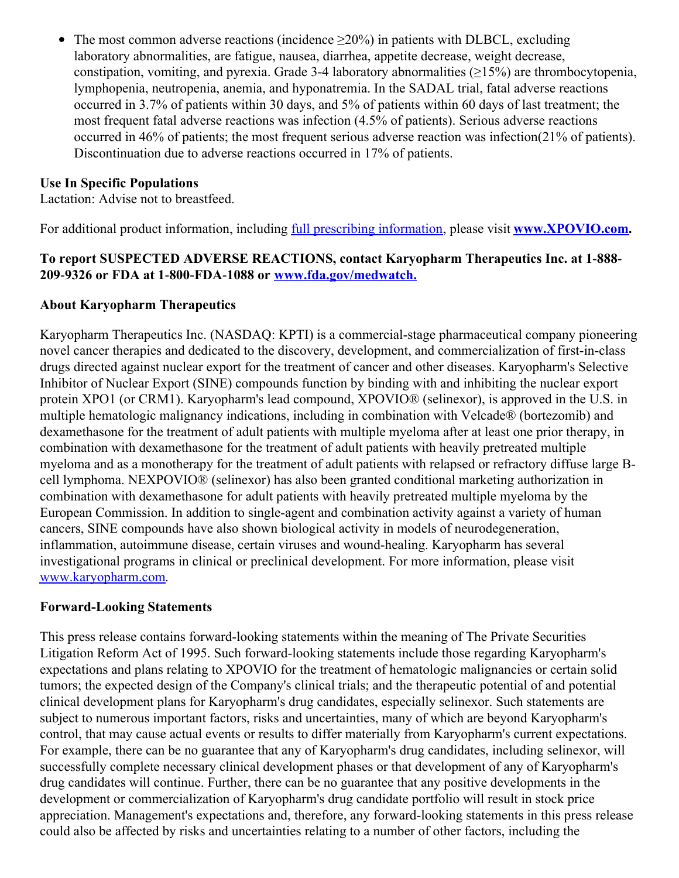The most common adverse reactions (incidence  $\geq 20\%$ ) in patients with DLBCL, excluding  $\bullet$ laboratory abnormalities, are fatigue, nausea, diarrhea, appetite decrease, weight decrease, constipation, vomiting, and pyrexia. Grade 3-4 laboratory abnormalities  $(\geq 15\%)$  are thrombocytopenia, lymphopenia, neutropenia, anemia, and hyponatremia. In the SADAL trial, fatal adverse reactions occurred in 3.7% of patients within 30 days, and 5% of patients within 60 days of last treatment; the most frequent fatal adverse reactions was infection (4.5% of patients). Serious adverse reactions occurred in 46% of patients; the most frequent serious adverse reaction was infection(21% of patients). Discontinuation due to adverse reactions occurred in 17% of patients.

## **Use In Specific Populations**

Lactation: Advise not to breastfeed.

For additional product information, including full prescribing [information](https://c212.net/c/link/?t=0&l=en&o=3240977-1&h=1927616727&u=https%3A%2F%2Fwww.karyopharm.com%2Fwp-content%2Fuploads%2F2019%2F07%2FNDA-212306-SN-0071-Prescribing-Information-01July2019.pdf&a=full+prescribing+information), please visit **[www.XPOVIO.com](https://c212.net/c/link/?t=0&l=en&o=3240977-1&h=1972408661&u=http%3A%2F%2Fwww.xpovio.com%2F&a=www.XPOVIO.com).**

## **To report SUSPECTED ADVERSE REACTIONS, contact Karyopharm Therapeutics Inc. at 1‐888‐ 209‐9326 or FDA at 1‐800‐FDA‐1088 or [www.fda.gov/medwatch.](https://c212.net/c/link/?t=0&l=en&o=3240977-1&h=1583841734&u=http%3A%2F%2Fwww.fda.gov%2Fmedwatch&a=www.fda.gov%2Fmedwatch.)**

#### **About Karyopharm Therapeutics**

Karyopharm Therapeutics Inc. (NASDAQ: KPTI) is a commercial-stage pharmaceutical company pioneering novel cancer therapies and dedicated to the discovery, development, and commercialization of first-in-class drugs directed against nuclear export for the treatment of cancer and other diseases. Karyopharm's Selective Inhibitor of Nuclear Export (SINE) compounds function by binding with and inhibiting the nuclear export protein XPO1 (or CRM1). Karyopharm's lead compound, XPOVIO® (selinexor), is approved in the U.S. in multiple hematologic malignancy indications, including in combination with Velcade® (bortezomib) and dexamethasone for the treatment of adult patients with multiple myeloma after at least one prior therapy, in combination with dexamethasone for the treatment of adult patients with heavily pretreated multiple myeloma and as a monotherapy for the treatment of adult patients with relapsed or refractory diffuse large Bcell lymphoma. NEXPOVIO® (selinexor) has also been granted conditional marketing authorization in combination with dexamethasone for adult patients with heavily pretreated multiple myeloma by the European Commission. In addition to single-agent and combination activity against a variety of human cancers, SINE compounds have also shown biological activity in models of neurodegeneration, inflammation, autoimmune disease, certain viruses and wound-healing. Karyopharm has several investigational programs in clinical or preclinical development. For more information, please visit [www.karyopharm.com](https://c212.net/c/link/?t=0&l=en&o=3240977-1&h=4294579353&u=http%3A%2F%2Fwww.karyopharm.com%2F&a=www.karyopharm.com).

#### **Forward-Looking Statements**

This press release contains forward-looking statements within the meaning of The Private Securities Litigation Reform Act of 1995. Such forward-looking statements include those regarding Karyopharm's expectations and plans relating to XPOVIO for the treatment of hematologic malignancies or certain solid tumors; the expected design of the Company's clinical trials; and the therapeutic potential of and potential clinical development plans for Karyopharm's drug candidates, especially selinexor. Such statements are subject to numerous important factors, risks and uncertainties, many of which are beyond Karyopharm's control, that may cause actual events or results to differ materially from Karyopharm's current expectations. For example, there can be no guarantee that any of Karyopharm's drug candidates, including selinexor, will successfully complete necessary clinical development phases or that development of any of Karyopharm's drug candidates will continue. Further, there can be no guarantee that any positive developments in the development or commercialization of Karyopharm's drug candidate portfolio will result in stock price appreciation. Management's expectations and, therefore, any forward-looking statements in this press release could also be affected by risks and uncertainties relating to a number of other factors, including the